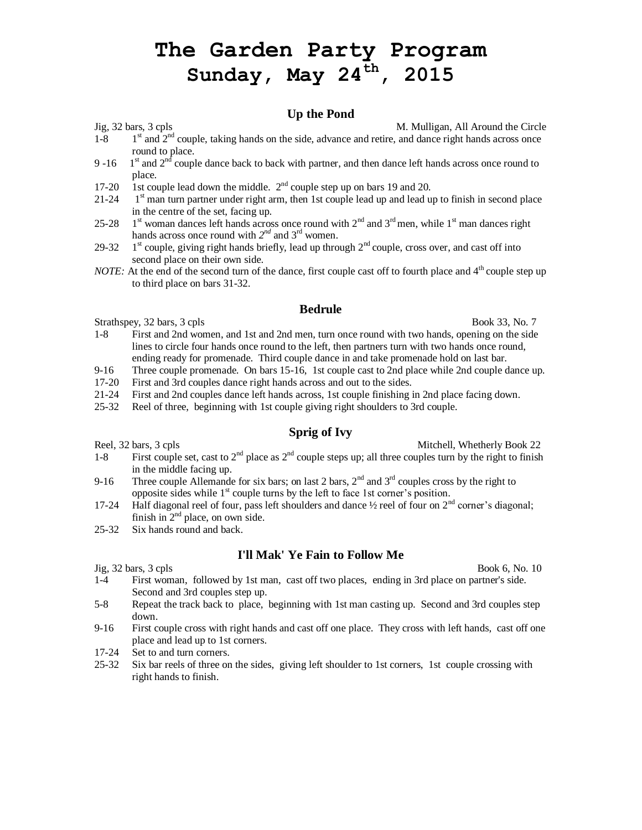# **The Garden Party Program Sunday, May 24 th, 2015**

#### **Up the Pond**

Jig, 32 bars, 3 cpls M. Mulligan, All Around the Circle

- $1 8$  $1<sup>st</sup>$  and  $2<sup>nd</sup>$  couple, taking hands on the side, advance and retire, and dance right hands across once round to place.
- $9 16$  $1<sup>st</sup>$  and  $2<sup>nd</sup>$  couple dance back to back with partner, and then dance left hands across once round to place.
- 17-20 1st couple lead down the middle.  $2<sup>nd</sup>$  couple step up on bars 19 and 20.
- 21-24 1  $1<sup>st</sup>$  man turn partner under right arm, then 1st couple lead up and lead up to finish in second place in the centre of the set, facing up.
- 25-28 1  $1<sup>st</sup>$  woman dances left hands across once round with  $2<sup>nd</sup>$  and  $3<sup>rd</sup>$  men, while  $1<sup>st</sup>$  man dances right hands across once round with  $2^{nd}$  and  $3^{rd}$  women.
- 29-32  $1<sup>st</sup>$  couple, giving right hands briefly, lead up through  $2<sup>nd</sup>$  couple, cross over, and cast off into second place on their own side.
- *NOTE:* At the end of the second turn of the dance, first couple cast off to fourth place and  $4<sup>th</sup>$  couple step up to third place on bars 31-32.

#### **Bedrule**

Strathspey, 32 bars, 3 cpls Book 33, No. 7

- 1-8 First and 2nd women, and 1st and 2nd men, turn once round with two hands, opening on the side lines to circle four hands once round to the left, then partners turn with two hands once round, ending ready for promenade. Third couple dance in and take promenade hold on last bar.
	- 9-16 Three couple promenade. On bars 15-16, 1st couple cast to 2nd place while 2nd couple dance up.
	- 17-20 First and 3rd couples dance right hands across and out to the sides.
	- 21-24 First and 2nd couples dance left hands across, 1st couple finishing in 2nd place facing down.
	- 25-32 Reel of three, beginning with 1st couple giving right shoulders to 3rd couple.

## **Sprig of Ivy**

Reel, 32 bars, 3 cpls and 22 bars, 3 cpls and 22 bars, 3 cpls and 22 bars, 3 cpls and 22 bars, 3 cpls and 22 bars, 3 cpls and 22 bars and 22 bars and 22 bars and 22 bars and 22 bars and 22 bars and 22 bars and 22 bars and

- 1-8 First couple set, cast to  $2^{nd}$  place as  $2^{nd}$  couple steps up; all three couples turn by the right to finish in the middle facing up.
- 9-16 Three couple Allemande for six bars; on last 2 bars,  $2<sup>nd</sup>$  and  $3<sup>rd</sup>$  couples cross by the right to opposite sides while  $1<sup>st</sup>$  couple turns by the left to face 1st corner's position.
- 17-24 Half diagonal reel of four, pass left shoulders and dance <sup>1</sup>/<sub>2</sub> reel of four on 2<sup>nd</sup> corner's diagonal; finish in  $2<sup>nd</sup>$  place, on own side.
- 25-32 Six hands round and back.

## **I'll Mak' Ye Fain to Follow Me**

 $Jig, 32 \text{ bars}, 3 \text{ cpls}$  Book 6, No. 10

- 1-4 First woman, followed by 1st man, cast off two places, ending in 3rd place on partner's side. Second and 3rd couples step up.
- 5-8 Repeat the track back to place, beginning with 1st man casting up. Second and 3rd couples step down.
- 9-16 First couple cross with right hands and cast off one place. They cross with left hands, cast off one place and lead up to 1st corners.
- 17-24 Set to and turn corners.
- 25-32 Six bar reels of three on the sides, giving left shoulder to 1st corners, 1st couple crossing with right hands to finish.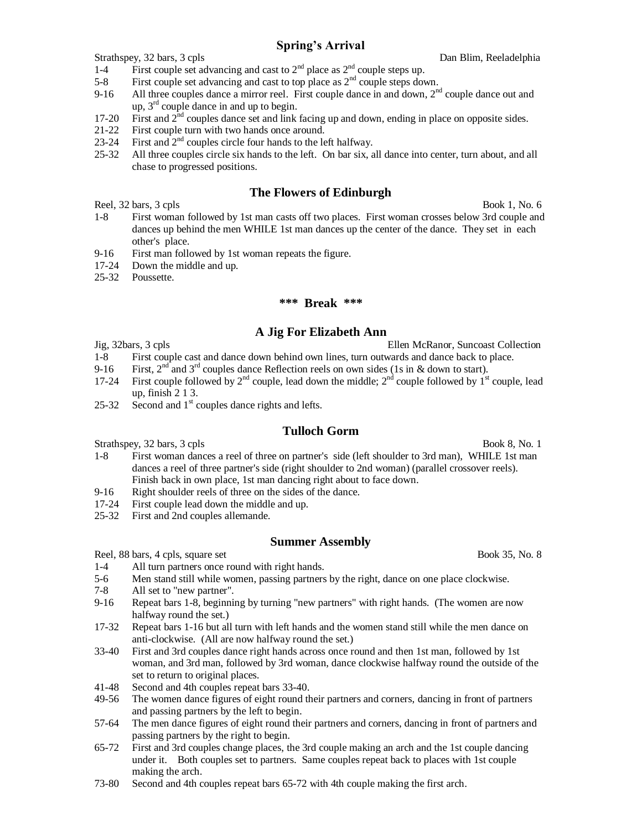## **Spring's Arrival**

Strathspey, 32 bars, 3 cpls **Dan Blim, Reeladelphia** 

1-4 First couple set advancing and cast to  $2<sup>nd</sup>$  place as  $2<sup>nd</sup>$  couple steps up.

- 5-8 First couple set advancing and cast to top place as  $2<sup>nd</sup>$  couple steps down.
- 9-16 All three couples dance a mirror reel. First couple dance in and down,  $2<sup>nd</sup>$  couple dance out and up,  $3<sup>rd</sup>$  couple dance in and up to begin.
- 17-20 First and  $2<sup>nd</sup>$  couples dance set and link facing up and down, ending in place on opposite sides.
- 21-22 First couple turn with two hands once around.
- 23-24 First and  $2<sup>nd</sup>$  couples circle four hands to the left halfway.
- 25-32 All three couples circle six hands to the left. On bar six, all dance into center, turn about, and all chase to progressed positions.

## **The Flowers of Edinburgh**

Reel, 32 bars, 3 cpls Book 1, No. 6

- 1-8 First woman followed by 1st man casts off two places. First woman crosses below 3rd couple and dances up behind the men WHILE 1st man dances up the center of the dance. They set in each other's place.
- 9-16 First man followed by 1st woman repeats the figure.
- 17-24 Down the middle and up.
- 25-32 Poussette.

#### **\*\*\* Break \*\*\***

#### **A Jig For Elizabeth Ann**

Jig, 32bars, 3 cpls Ellen McRanor, Suncoast Collection

- 1-8 First couple cast and dance down behind own lines, turn outwards and dance back to place.
- 9-16 First,  $2<sup>nd</sup>$  and  $3<sup>rd</sup>$  couples dance Reflection reels on own sides (1s in & down to start).
- 17-24 First couple followed by  $2^{nd}$  couple, lead down the middle;  $2^{nd}$  couple followed by  $1^{st}$  couple, lead up, finish 2 1 3.
- 25-32 Second and  $1<sup>st</sup>$  couples dance rights and lefts.

## **Tulloch Gorm**

Strathspey, 32 bars, 3 cpls Book 8, No. 1

- 1-8 First woman dances a reel of three on partner's side (left shoulder to 3rd man), WHILE 1st man dances a reel of three partner's side (right shoulder to 2nd woman) (parallel crossover reels). Finish back in own place, 1st man dancing right about to face down.
- 9-16 Right shoulder reels of three on the sides of the dance.
- 17-24 First couple lead down the middle and up.
- 25-32 First and 2nd couples allemande.

#### **Summer Assembly**

Reel, 88 bars, 4 cpls, square set Book 35, No. 8

- 1-4 All turn partners once round with right hands.
- 5-6 Men stand still while women, passing partners by the right, dance on one place clockwise.
- 7-8 All set to "new partner".
- 9-16 Repeat bars 1-8, beginning by turning "new partners" with right hands. (The women are now halfway round the set.)
- 17-32 Repeat bars 1-16 but all turn with left hands and the women stand still while the men dance on anti-clockwise. (All are now halfway round the set.)
- 33-40 First and 3rd couples dance right hands across once round and then 1st man, followed by 1st woman, and 3rd man, followed by 3rd woman, dance clockwise halfway round the outside of the set to return to original places.
- 41-48 Second and 4th couples repeat bars 33-40.
- 49-56 The women dance figures of eight round their partners and corners, dancing in front of partners and passing partners by the left to begin.
- 57-64 The men dance figures of eight round their partners and corners, dancing in front of partners and passing partners by the right to begin.
- 65-72 First and 3rd couples change places, the 3rd couple making an arch and the 1st couple dancing under it. Both couples set to partners. Same couples repeat back to places with 1st couple making the arch.
- 73-80 Second and 4th couples repeat bars 65-72 with 4th couple making the first arch.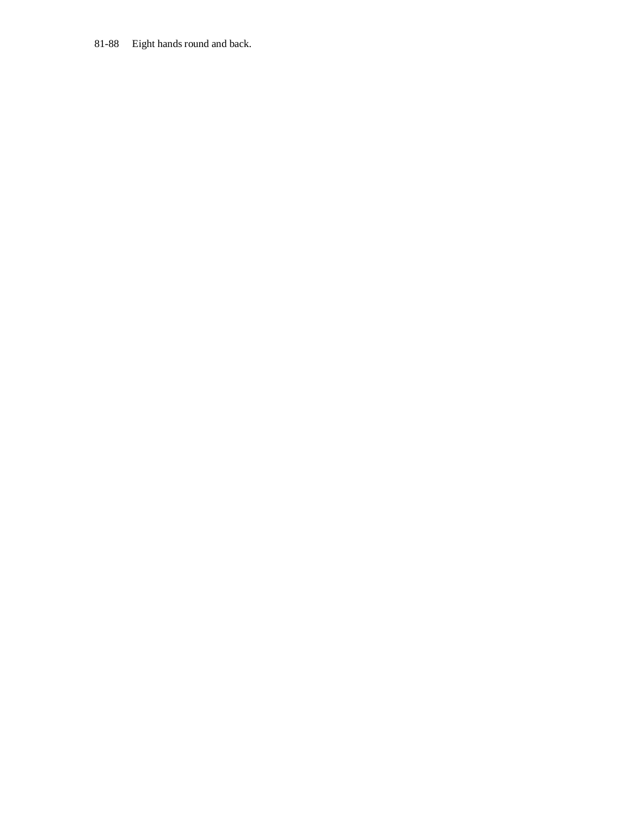## 81-88 Eight hands round and back.